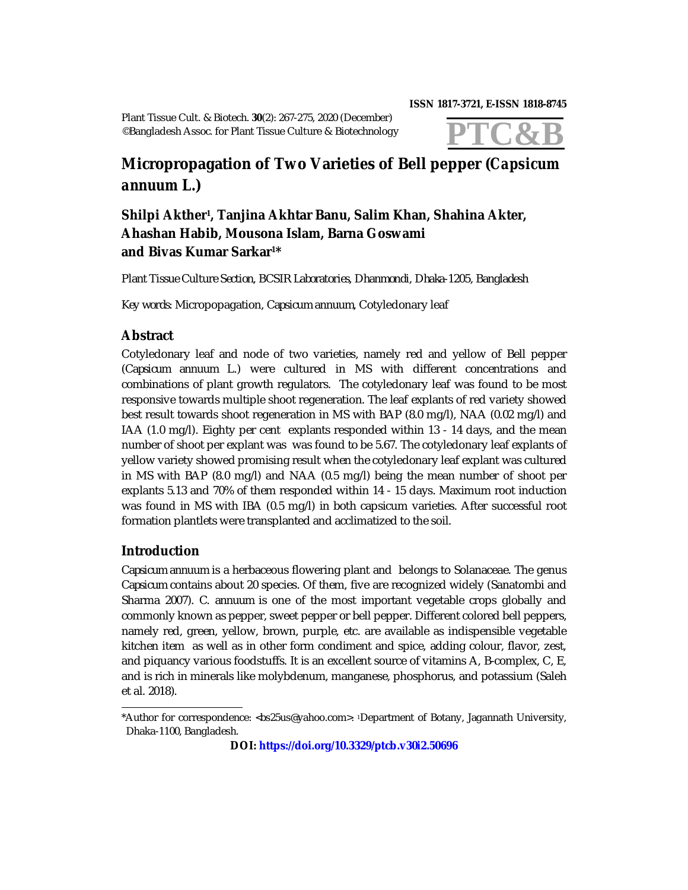**ISSN 1817-3721, E-ISSN 1818-8745** 

Plant Tissue Cult. & Biotech. **30**(2): 267-275, 2020 (December) ©Bangladesh Assoc. for Plant Tissue Culture & Biotechnology



# **Micropropagation of Two Varieties of Bell pepper (***Capsicum annuum* **L.)**

# **Shilpi Akther<sup>1</sup> , Tanjina Akhtar Banu, Salim Khan, Shahina Akter, Ahashan Habib, Mousona Islam, Barna Goswami and Bivas Kumar Sarkar1\***

*Plant Tissue Culture Section, BCSIR Laboratories, Dhanmondi, Dhaka-1205, Bangladesh*

*Key words:* Micropopagation, *Capsicum annuum*, Cotyledonary leaf

## **Abstract**

Cotyledonary leaf and node of two varieties, namely red and yellow of Bell pepper (*Capsicum annuum* L.) were cultured in MS with different concentrations and combinations of plant growth regulators. The cotyledonary leaf was found to be most responsive towards multiple shoot regeneration. The leaf explants of red variety showed best result towards shoot regeneration in MS with BAP (8.0 mg/l), NAA (0.02 mg/l) and IAA (1.0 mg/l). Eighty per cent explants responded within 13 - 14 days, and the mean number of shoot per explant was was found to be 5.67. The cotyledonary leaf explants of yellow variety showed promising result when the cotyledonary leaf explant was cultured in MS with BAP (8.0 mg/l) and NAA (0.5 mg/l) being the mean number of shoot per explants 5.13 and 70% of them responded within 14 - 15 days. Maximum root induction was found in MS with IBA (0.5 mg/l) in both capsicum varieties. After successful root formation plantlets were transplanted and acclimatized to the soil.

# **Introduction**

*Capsicum annuum* is a herbaceous flowering plant and belongs to Solanaceae. The genus *Capsicum* contains about 20 species. Of them, five are recognized widely (Sanatombi and Sharma 2007). *C*. *annuum* is one of the most important vegetable crops globally and commonly known as pepper, sweet pepper or bell pepper. Different colored bell peppers, namely red, green, yellow, brown, purple, etc. are available as indispensible vegetable kitchen item as well as in other form condiment and spice, adding colour, flavor, zest, and piquancy various foodstuffs. It is an excellent source of vitamins A, B-complex, C, E, and is rich in minerals like molybdenum, manganese, phosphorus, and potassium (Saleh et al. 2018).

<sup>\*</sup>Author for correspondence: <[bs25us@yahoo.com](mailto:bs25us@yahoo.com)>. <sup>1</sup>Department of Botany, Jagannath University, Dhaka-1100, Bangladesh.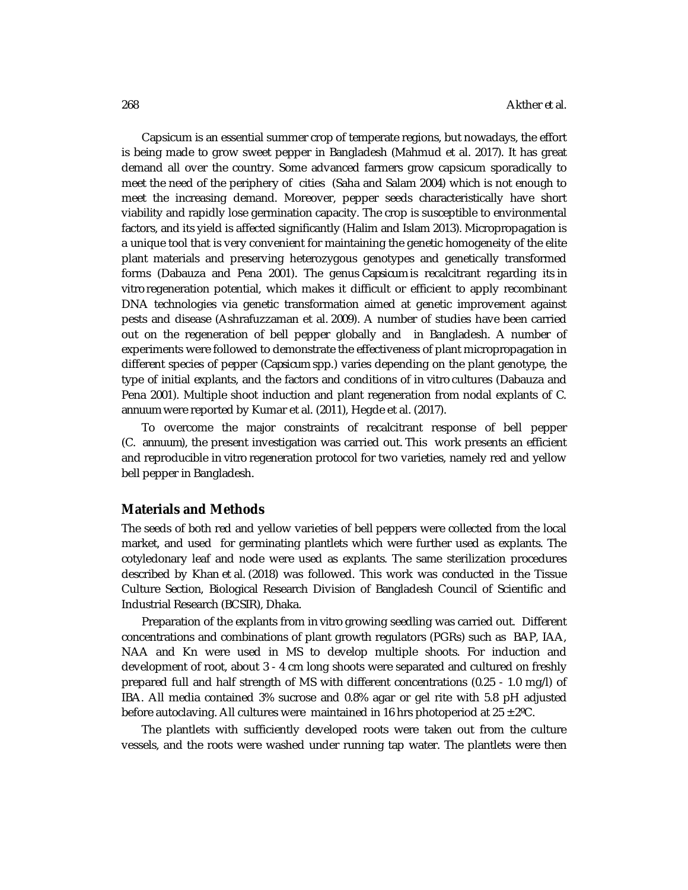Capsicum is an essential summer crop of temperate regions, but nowadays, the effort is being made to grow sweet pepper in Bangladesh (Mahmud et al. 2017). It has great demand all over the country. Some advanced farmers grow capsicum sporadically to meet the need of the periphery of cities (Saha and Salam 2004) which is not enough to meet the increasing demand. Moreover, pepper seeds characteristically have short viability and rapidly lose germination capacity. The crop is susceptible to environmental factors, and its yield is affected significantly (Halim and Islam 2013). Micropropagation is a unique tool that is very convenient for maintaining the genetic homogeneity of the elite plant materials and preserving heterozygous genotypes and genetically transformed forms (Dabauza and Pena 2001). The genus *Capsicum* is recalcitrant regarding its *in vitro* regeneration potential, which makes it difficult or efficient to apply recombinant DNA technologies via genetic transformation aimed at genetic improvement against pests and disease (Ashrafuzzaman et al*.* 2009). A number of studies have been carried out on the regeneration of bell pepper globally and in Bangladesh. A number of experiments were followed to demonstrate the effectiveness of plant micropropagation in different species of pepper (*Capsicum* spp.) varies depending on the plant genotype, the type of initial explants, and the factors and conditions of *in vitro* cultures (Dabauza and Pena 2001). Multiple shoot induction and plant regeneration from nodal explants of *C*. *annuum* were reported by Kumar et al. (2011), Hegde et al. (2017).

To overcome the major constraints of recalcitrant response of bell pepper (*C*. *annuum*), the present investigation was carried out. This work presents an efficient and reproducible *in vitro* regeneration protocol for two varieties, namely red and yellow bell pepper in Bangladesh.

#### **Materials and Methods**

The seeds of both red and yellow varieties of bell peppers were collected from the local market, and used for germinating plantlets which were further used as explants. The cotyledonary leaf and node were used as explants. The same sterilization procedures described by Khan et al. (2018) was followed. This work was conducted in the Tissue Culture Section, Biological Research Division of Bangladesh Council of Scientific and Industrial Research (BCSIR), Dhaka.

Preparation of the explants from *in vitro* growing seedling was carried out. Different concentrations and combinations of plant growth regulators (PGRs) such as BAP, IAA, NAA and Kn were used in MS to develop multiple shoots. For induction and development of root, about 3 - 4 cm long shoots were separated and cultured on freshly prepared full and half strength of MS with different concentrations (0.25 - 1.0 mg/l) of IBA. All media contained 3% sucrose and 0.8% agar or gel rite with 5.8 pH adjusted before autoclaving. All cultures were maintained in 16 hrs photoperiod at  $25 \pm 2^{\circ}$ C.

The plantlets with sufficiently developed roots were taken out from the culture vessels, and the roots were washed under running tap water. The plantlets were then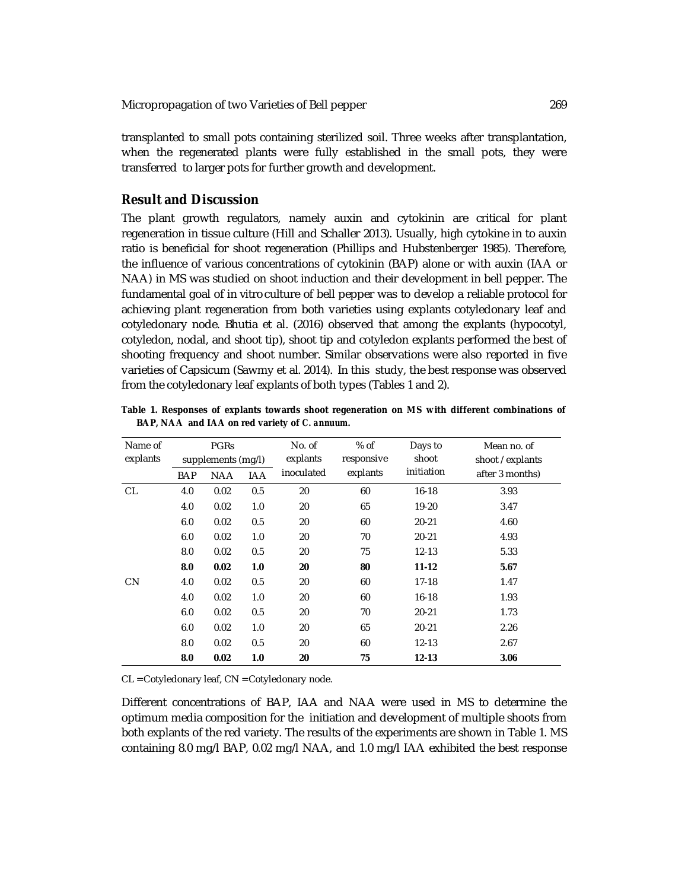Micropropagation of two Varieties of Bell pepper 269

transplanted to small pots containing sterilized soil. Three weeks after transplantation, when the regenerated plants were fully established in the small pots, they were transferred to larger pots for further growth and development.

### **Result and Discussion**

The plant growth regulators, namely auxin and cytokinin are critical for plant regeneration in tissue culture (Hill and Schaller 2013). Usually, high cytokine in to auxin ratio is beneficial for shoot regeneration (Phillips and Hubstenberger 1985). Therefore, the influence of various concentrations of cytokinin (BAP) alone or with auxin (IAA or NAA) in MS was studied on shoot induction and their development in bell pepper. The fundamental goal of *in vitro* culture of bell pepper was to develop a reliable protocol for achieving plant regeneration from both varieties using explants cotyledonary leaf and cotyledonary node. Bhutia et al. (2016) observed that among the explants (hypocotyl, cotyledon, nodal, and shoot tip), shoot tip and cotyledon explants performed the best of shooting frequency and shoot number. Similar observations were also reported in five varieties of Capsicum (Sawmy et al. 2014). In this study, the best response was observed from the cotyledonary leaf explants of both types (Tables 1 and 2).

**Table 1. Responses of explants towards shoot regeneration on MS with different combinations of BAP, NAA and IAA on red variety of** *C. annuum***.**

| Name of   | <b>PGRS</b>        |            |            | No. of     | $%$ of     | Days to    | Mean no. of      |
|-----------|--------------------|------------|------------|------------|------------|------------|------------------|
| explants  | supplements (mg/l) |            |            | explants   | responsive | shoot      | shoot / explants |
|           | <b>BAP</b>         | <b>NAA</b> | <b>IAA</b> | inoculated | explants   | initiation | after 3 months)  |
| <b>CL</b> | 4.0                | 0.02       | 0.5        | 20         | 60         | $16 - 18$  | 3.93             |
|           | 4.0                | 0.02       | 1.0        | 20         | 65         | $19 - 20$  | 3.47             |
|           | 6.0                | 0.02       | 0.5        | 20         | 60         | $20 - 21$  | 4.60             |
|           | 6.0                | 0.02       | 1.0        | 20         | 70         | $20 - 21$  | 4.93             |
|           | 8.0                | 0.02       | 0.5        | 20         | 75         | $12 - 13$  | 5.33             |
|           | 8.0                | 0.02       | 1.0        | 20         | 80         | $11 - 12$  | 5.67             |
| <b>CN</b> | 4.0                | 0.02       | 0.5        | 20         | 60         | $17 - 18$  | 1.47             |
|           | 4.0                | 0.02       | 1.0        | 20         | 60         | $16 - 18$  | 1.93             |
|           | 6.0                | 0.02       | 0.5        | 20         | 70         | $20 - 21$  | 1.73             |
|           | 6.0                | 0.02       | 1.0        | 20         | 65         | $20 - 21$  | 2.26             |
|           | 8.0                | 0.02       | 0.5        | 20         | 60         | $12 - 13$  | 2.67             |
|           | 8.0                | 0.02       | 1.0        | 20         | 75         | $12 - 13$  | 3.06             |

CL = Cotyledonary leaf, CN = Cotyledonary node.

Different concentrations of BAP, IAA and NAA were used in MS to determine the optimum media composition for the initiation and development of multiple shoots from both explants of the red variety. The results of the experiments are shown in Table 1. MS containing 8.0 mg/l BAP, 0.02 mg/l NAA, and 1.0 mg/l IAA exhibited the best response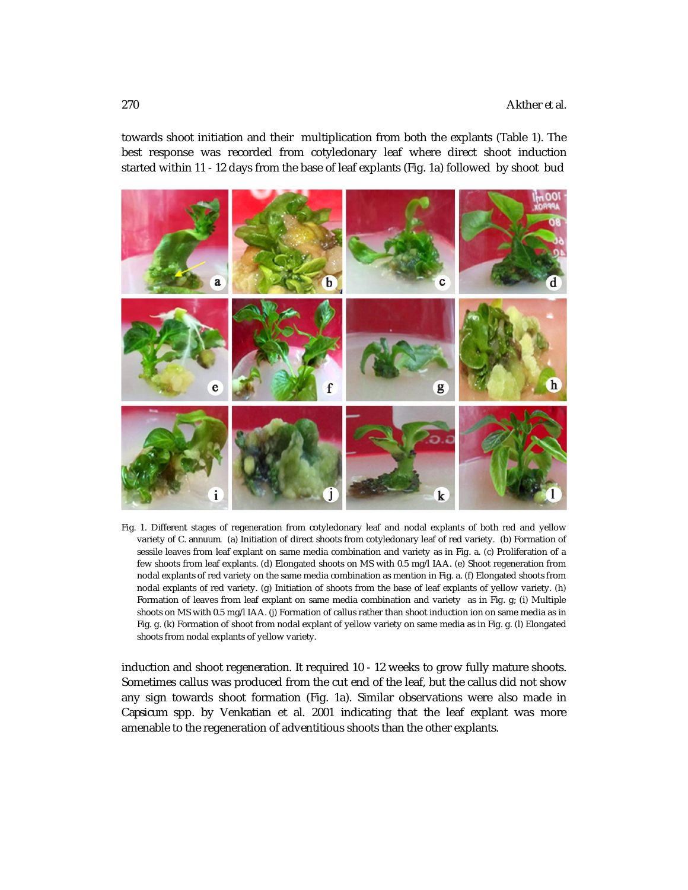towards shoot initiation and their multiplication from both the explants (Table 1). The best response was recorded from cotyledonary leaf where direct shoot induction started within 11 - 12 days from the base of leaf explants (Fig. 1a) followed by shoot bud



Fig. 1. Different stages of regeneration from cotyledonary leaf and nodal explants of both red and yellow variety of *C*. *annuum*. (a) Initiation of direct shoots from cotyledonary leaf of red variety. (b) Formation of sessile leaves from leaf explant on same media combination and variety as in Fig. a. (c) Proliferation of a few shoots from leaf explants. (d) Elongated shoots on MS with 0.5 mg/l IAA. (e) Shoot regeneration from nodal explants of red variety on the same media combination as mention in Fig. a. (f) Elongated shoots from nodal explants of red variety. (g) Initiation of shoots from the base of leaf explants of yellow variety. (h) Formation of leaves from leaf explant on same media combination and variety as in Fig. g; (i) Multiple shoots on MS with 0.5 mg/l IAA. (j) Formation of callus rather than shoot induction ion on same media as in Fig. g. (k) Formation of shoot from nodal explant of yellow variety on same media as in Fig. g. (l) Elongated shoots from nodal explants of yellow variety.

induction and shoot regeneration. It required 10 - 12 weeks to grow fully mature shoots. Sometimes callus was produced from the cut end of the leaf, but the callus did not show any sign towards shoot formation (Fig. 1a). Similar observations were also made in *Capsicum* spp. by Venkatian et al. 2001 indicating that the leaf explant was more amenable to the regeneration of adventitious shoots than the other explants.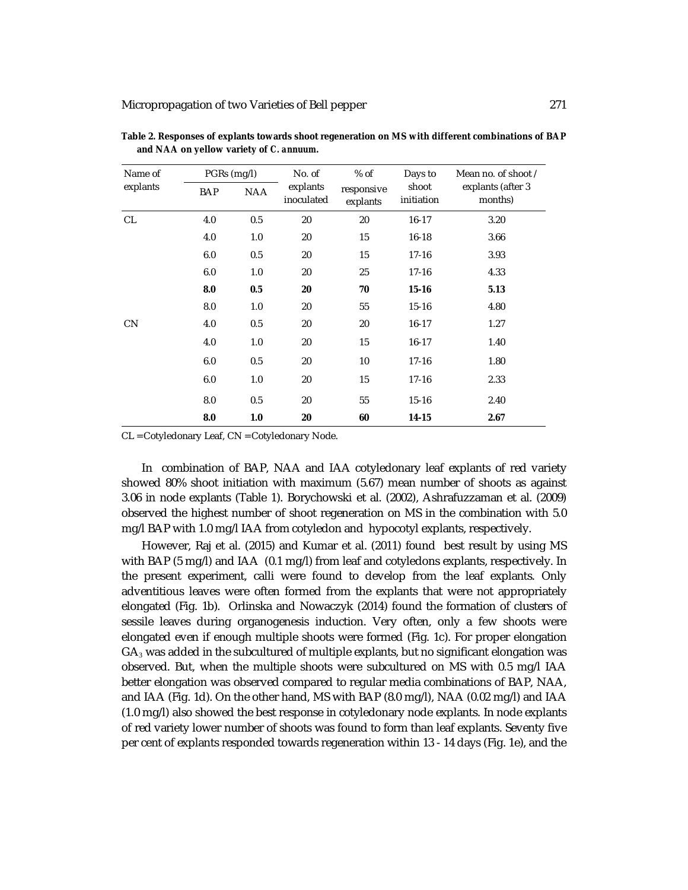| Name of   | PGRs (mg/l) |            | No. of<br>explants<br>inoculated | % of<br>responsive<br>explants | Days to<br>shoot<br>initiation | Mean no. of shoot /<br>explants (after 3<br>months) |
|-----------|-------------|------------|----------------------------------|--------------------------------|--------------------------------|-----------------------------------------------------|
| explants  | <b>BAP</b>  | <b>NAA</b> |                                  |                                |                                |                                                     |
| <b>CL</b> | 4.0         | 0.5        | 20                               | 20                             | $16 - 17$                      | 3.20                                                |
|           | 4.0         | 1.0        | 20                               | 15                             | $16 - 18$                      | 3.66                                                |
|           | 6.0         | 0.5        | 20                               | 15                             | $17 - 16$                      | 3.93                                                |
|           | 6.0         | 1.0        | 20                               | 25                             | $17 - 16$                      | 4.33                                                |
|           | 8.0         | 0.5        | 20                               | 70                             | $15 - 16$                      | 5.13                                                |
|           | 8.0         | 1.0        | 20                               | 55                             | $15 - 16$                      | 4.80                                                |
| CN        | 4.0         | 0.5        | 20                               | 20                             | $16 - 17$                      | 1.27                                                |
|           | 4.0         | 1.0        | 20                               | 15                             | $16 - 17$                      | 1.40                                                |
|           | 6.0         | 0.5        | 20                               | 10                             | $17 - 16$                      | 1.80                                                |
|           | 6.0         | 1.0        | 20                               | 15                             | $17 - 16$                      | 2.33                                                |
|           | 8.0         | 0.5        | 20                               | 55                             | $15 - 16$                      | 2.40                                                |
|           | 8.0         | 1.0        | 20                               | 60                             | 14-15                          | 2.67                                                |

**Table 2. Responses of explants towards shoot regeneration on MS with different combinations of BAP and NAA on yellow variety of** *C. annuum***.**

CL = Cotyledonary Leaf, CN = Cotyledonary Node.

In combination of BAP, NAA and IAA cotyledonary leaf explants of red variety showed 80% shoot initiation with maximum (5.67) mean number of shoots as against 3.06 in node explants (Table 1). Borychowski et al. (2002), Ashrafuzzaman et al. (2009) observed the highest number of shoot regeneration on MS in the combination with 5.0 mg/l BAP with 1.0 mg/l IAA from cotyledon and hypocotyl explants, respectively.

However, Raj et al. (2015) and Kumar et al. (2011) found best result by using MS with BAP (5 mg/l) and IAA (0.1 mg/l) from leaf and cotyledons explants, respectively. In the present experiment, calli were found to develop from the leaf explants. Only adventitious leaves were often formed from the explants that were not appropriately elongated (Fig. 1b). Orlinska and Nowaczyk (2014) found the formation of clusters of sessile leaves during organogenesis induction. Very often, only a few shoots were elongated even if enough multiple shoots were formed (Fig. 1c). For proper elongation  $GA<sub>3</sub>$  was added in the subcultured of multiple explants, but no significant elongation was observed. But, when the multiple shoots were subcultured on MS with 0.5 mg/l IAA better elongation was observed compared to regular media combinations of BAP, NAA, and IAA (Fig. 1d). On the other hand, MS with BAP (8.0 mg/l), NAA (0.02 mg/l) and IAA (1.0 mg/l) also showed the best response in cotyledonary node explants. In node explants of red variety lower number of shoots was found to form than leaf explants. Seventy five per cent of explants responded towards regeneration within 13 - 14 days (Fig. 1e), and the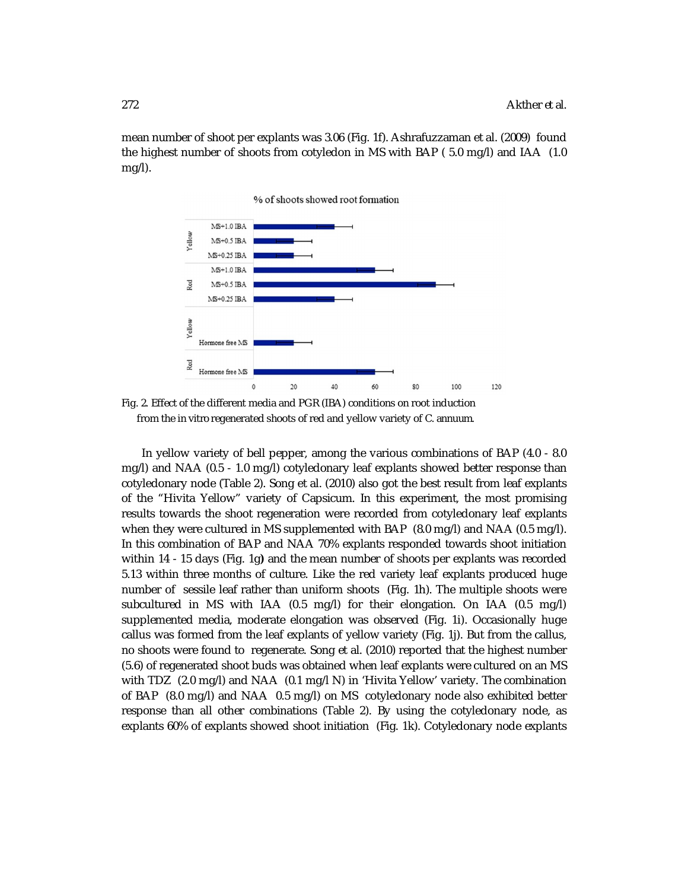mean number of shoot per explants was 3.06 (Fig. 1f). Ashrafuzzaman et al. (2009) found the highest number of shoots from cotyledon in MS with BAP ( 5.0 mg/l) and IAA (1.0 mg/l).

% of shoots showed root formation





In yellow variety of bell pepper, among the various combinations of BAP (4.0 - 8.0 mg/l) and NAA (0.5 - 1.0 mg/l) cotyledonary leaf explants showed better response than cotyledonary node (Table 2). Song et al. (2010) also got the best result from leaf explants of the "Hivita Yellow" variety of Capsicum. In this experiment, the most promising results towards the shoot regeneration were recorded from cotyledonary leaf explants when they were cultured in MS supplemented with BAP (8.0 mg/l) and NAA (0.5 mg/l). In this combination of BAP and NAA 70% explants responded towards shoot initiation within 14 - 15 days (Fig. 1g**)** and the mean number of shoots per explants was recorded 5.13 within three months of culture. Like the red variety leaf explants produced huge number of sessile leaf rather than uniform shoots (Fig. 1h). The multiple shoots were subcultured in MS with IAA (0.5 mg/l) for their elongation. On IAA (0.5 mg/l) supplemented media, moderate elongation was observed (Fig. 1i). Occasionally huge callus was formed from the leaf explants of yellow variety (Fig. 1j). But from the callus, no shoots were found to regenerate. Song et al. (2010) reported that the highest number (5.6) of regenerated shoot buds was obtained when leaf explants were cultured on an MS with TDZ (2.0 mg/l) and NAA (0.1 mg/l N) in 'Hivita Yellow' variety. The combination of BAP (8.0 mg/l) and NAA 0.5 mg/l) on MS cotyledonary node also exhibited better response than all other combinations (Table 2). By using the cotyledonary node, as explants 60% of explants showed shoot initiation (Fig. 1k). Cotyledonary node explants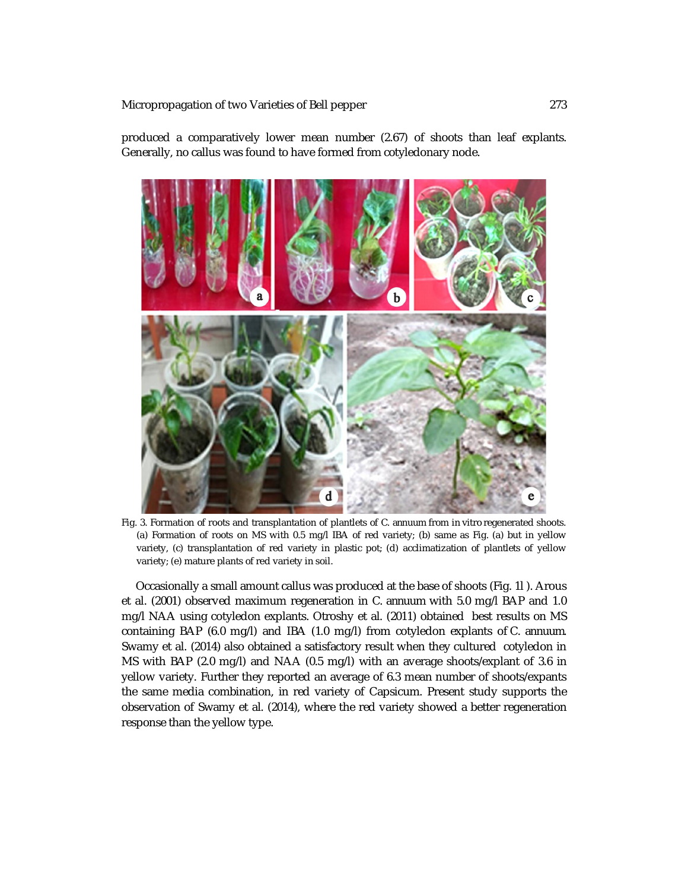produced a comparatively lower mean number (2.67) of shoots than leaf explants. Generally, no callus was found to have formed from cotyledonary node.



Fig. 3. Formation of roots and transplantation of plantlets of *C*. *annuum* from *in vitro* regenerated shoots. (a) Formation of roots on MS with 0.5 mg/l IBA of red variety; (b) same as Fig. (a) but in yellow variety, (c) transplantation of red variety in plastic pot; (d) acclimatization of plantlets of yellow variety; (e) mature plants of red variety in soil.

 Occasionally a small amount callus was produced at the base of shoots (Fig. 1l ). Arous et al*.* (2001) observed maximum regeneration in *C. annuum* with 5.0 mg/l BAP and 1.0 mg/l NAA using cotyledon explants. Otroshy et al. (2011) obtained best results on MS containing BAP (6.0 mg/l) and IBA (1.0 mg/l) from cotyledon explants of *C. annuum*. Swamy et al. (2014) also obtained a satisfactory result when they cultured cotyledon in MS with BAP (2.0 mg/l) and NAA (0.5 mg/l) with an average shoots/explant of 3.6 in yellow variety. Further they reported an average of 6.3 mean number of shoots/expants the same media combination, in red variety of Capsicum. Present study supports the observation of Swamy et al. (2014), where the red variety showed a better regeneration response than the yellow type.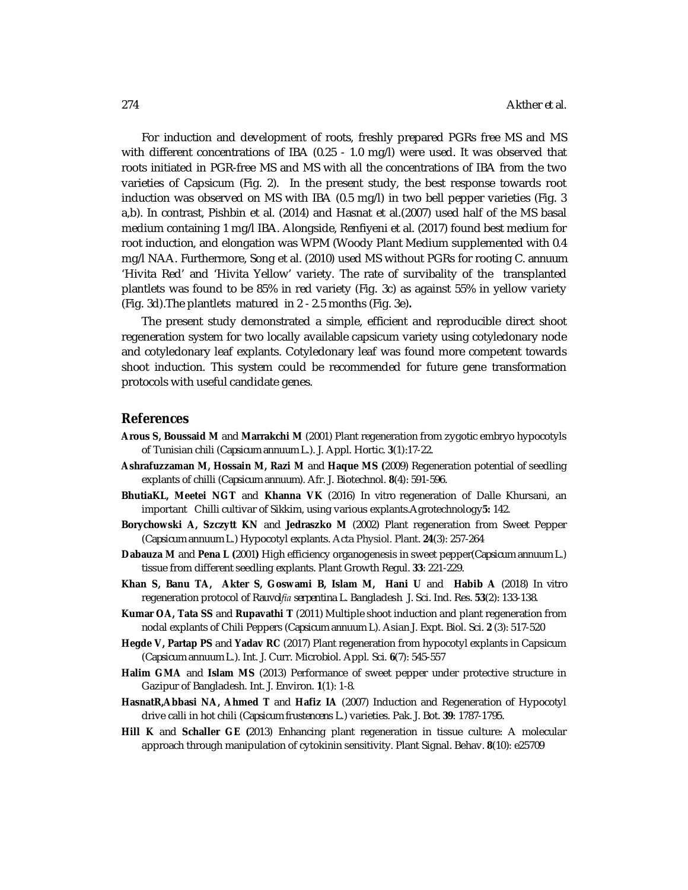For induction and development of roots, freshly prepared PGRs free MS and MS with different concentrations of IBA (0.25 - 1.0 mg/l) were used. It was observed that roots initiated in PGR-free MS and MS with all the concentrations of IBA from the two varieties of Capsicum (Fig. 2). In the present study, the best response towards root induction was observed on MS with IBA (0.5 mg/l) in two bell pepper varieties (Fig. 3 a,b). In contrast, Pishbin et al. (2014) and Hasnat et al.(2007) used half of the MS basal medium containing 1 mg/l IBA. Alongside, Renfiyeni et al. (2017) found best medium for root induction, and elongation was WPM (Woody Plant Medium supplemented with 0.4 mg/l NAA. Furthermore, Song et al. (2010) used MS without PGRs for rooting *C. annuum* 'Hivita Red' and 'Hivita Yellow' variety. The rate of survibality of the transplanted plantlets was found to be 85% in red variety (Fig. 3c) as against 55% in yellow variety (Fig. 3d).The plantlets matured in 2 - 2.5 months (Fig. 3e)**.** 

The present study demonstrated a simple, efficient and reproducible direct shoot regeneration system for two locally available capsicum variety using cotyledonary node and cotyledonary leaf explants. Cotyledonary leaf was found more competent towards shoot induction. This system could be recommended for future gene transformation protocols with useful candidate genes.

#### **References**

- **Arous S, Boussaid M** and **Marrakchi M** (2001) Plant regeneration from zygotic embryo hypocotyls of Tunisian chili (*Capsicum annuum* L.). J. Appl. Hortic. **3**(1):17-22.
- **Ashrafuzzaman M, Hossain M, Razi M** and **Haque MS (**2009) Regeneration potential of seedling explants of chilli (*Capsicum annuum*). Afr. J. Biotechnol. **8**(4): 591-596.
- **BhutiaKL, Meetei NGT** and **Khanna VK** (2016) *In vitro* regeneration of Dalle Khursani, an important Chilli cultivar of Sikkim, using various explants.Agrotechnology**5:** 142.
- **Borychowski A, Szczytt KN** and **Jedraszko M** (2002) Plant regeneration from Sweet Pepper (*Capsicum annuum* L.) Hypocotyl explants. Acta Physiol. Plant. **24**(3): 257-264
- **Dabauza M** and **Pena L (**2001**)** High efficiency organogenesis in sweet pepper(*Capsicum annuum* L.) tissue from different seedling explants. Plant Growth Regul. **33**: 221-229.
- **Khan S, Banu TA, Akter S, Goswami B, Islam M, Hani U** and **Habib A** (2018) *In vitro* regeneration protocol of *Rauvolfia serpentina* L. Bangladesh J. Sci. Ind. Res. **53**(2): 133-138.
- **Kumar OA, Tata SS** and **Rupavathi T** (2011) Multiple shoot induction and plant regeneration from nodal explants of Chili Peppers (*Capsicum annuum* L). Asian J. Expt. Biol. Sci. **2** (3): 517-520
- **Hegde V, Partap PS** and **Yadav RC** (2017) Plant regeneration from hypocotyl explants in Capsicum (*Capsicum annuum* L.). Int. J. Curr. Microbiol. Appl. Sci. **6**(7): 545-557
- **Halim GMA** and **Islam MS** (2013) Performance of sweet pepper under protective structure in Gazipur of Bangladesh. Int. J. Environ. **1**(1): 1-8.
- **HasnatR,Abbasi NA, Ahmed T** and **Hafiz IA** (2007) Induction and Regeneration of Hypocotyl drive calli in hot chili (*Capsicum frustencens* L.) varieties. Pak. J. Bot. **39**: 1787-1795.
- **Hill K** and **Schaller GE (**2013) Enhancing plant regeneration in tissue culture: A molecular approach through manipulation of cytokinin sensitivity. Plant Signal. Behav. **8**(10): e25709